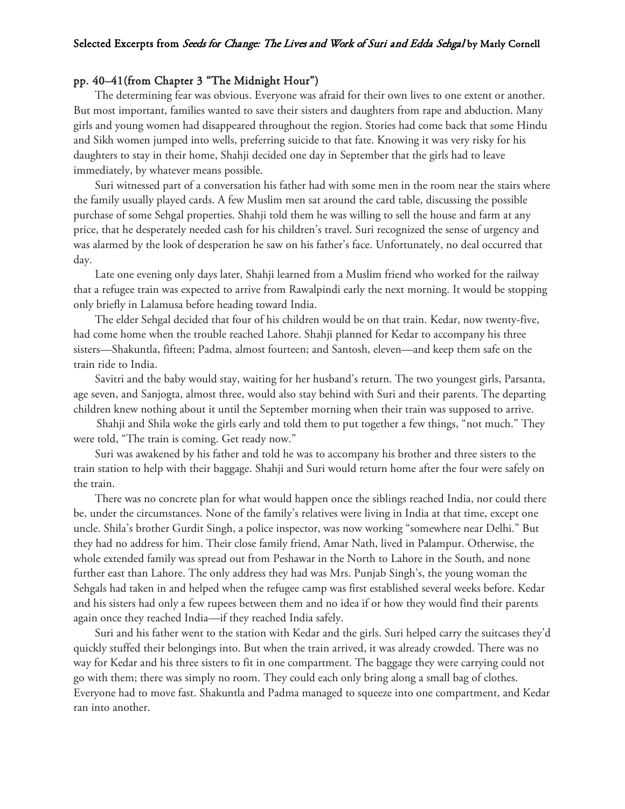# pp. 40–41(from Chapter 3 "The Midnight Hour")

The determining fear was obvious. Everyone was afraid for their own lives to one extent or another. But most important, families wanted to save their sisters and daughters from rape and abduction. Many girls and young women had disappeared throughout the region. Stories had come back that some Hindu and Sikh women jumped into wells, preferring suicide to that fate. Knowing it was very risky for his daughters to stay in their home, Shahji decided one day in September that the girls had to leave immediately, by whatever means possible.

Suri witnessed part of a conversation his father had with some men in the room near the stairs where the family usually played cards. A few Muslim men sat around the card table, discussing the possible purchase of some Sehgal properties. Shahji told them he was willing to sell the house and farm at any price, that he desperately needed cash for his children's travel. Suri recognized the sense of urgency and was alarmed by the look of desperation he saw on his father's face. Unfortunately, no deal occurred that day.

Late one evening only days later, Shahji learned from a Muslim friend who worked for the railway that a refugee train was expected to arrive from Rawalpindi early the next morning. It would be stopping only briefly in Lalamusa before heading toward India.

The elder Sehgal decided that four of his children would be on that train. Kedar, now twenty-five, had come home when the trouble reached Lahore. Shahji planned for Kedar to accompany his three sisters—Shakuntla, fifteen; Padma, almost fourteen; and Santosh, eleven—and keep them safe on the train ride to India.

Savitri and the baby would stay, waiting for her husband's return. The two youngest girls, Parsanta, age seven, and Sanjogta, almost three, would also stay behind with Suri and their parents. The departing children knew nothing about it until the September morning when their train was supposed to arrive.

Shahji and Shila woke the girls early and told them to put together a few things, "not much." They were told, "The train is coming. Get ready now."

Suri was awakened by his father and told he was to accompany his brother and three sisters to the train station to help with their baggage. Shahji and Suri would return home after the four were safely on the train.

There was no concrete plan for what would happen once the siblings reached India, nor could there be, under the circumstances. None of the family's relatives were living in India at that time, except one uncle. Shila's brother Gurdit Singh, a police inspector, was now working "somewhere near Delhi." But they had no address for him. Their close family friend, Amar Nath, lived in Palampur. Otherwise, the whole extended family was spread out from Peshawar in the North to Lahore in the South, and none further east than Lahore. The only address they had was Mrs. Punjab Singh's, the young woman the Sehgals had taken in and helped when the refugee camp was first established several weeks before. Kedar and his sisters had only a few rupees between them and no idea if or how they would find their parents again once they reached India—if they reached India safely.

Suri and his father went to the station with Kedar and the girls. Suri helped carry the suitcases they'd quickly stuffed their belongings into. But when the train arrived, it was already crowded. There was no way for Kedar and his three sisters to fit in one compartment. The baggage they were carrying could not go with them; there was simply no room. They could each only bring along a small bag of clothes. Everyone had to move fast. Shakuntla and Padma managed to squeeze into one compartment, and Kedar ran into another.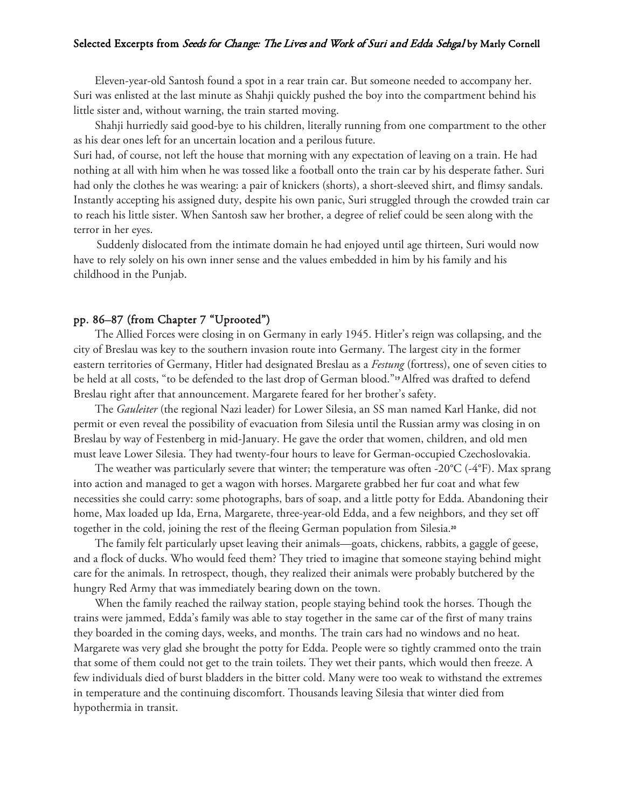Eleven-year-old Santosh found a spot in a rear train car. But someone needed to accompany her. Suri was enlisted at the last minute as Shahji quickly pushed the boy into the compartment behind his little sister and, without warning, the train started moving.

Shahji hurriedly said good-bye to his children, literally running from one compartment to the other as his dear ones left for an uncertain location and a perilous future.

Suri had, of course, not left the house that morning with any expectation of leaving on a train. He had nothing at all with him when he was tossed like a football onto the train car by his desperate father. Suri had only the clothes he was wearing: a pair of knickers (shorts), a short-sleeved shirt, and flimsy sandals. Instantly accepting his assigned duty, despite his own panic, Suri struggled through the crowded train car to reach his little sister. When Santosh saw her brother, a degree of relief could be seen along with the terror in her eyes.

Suddenly dislocated from the intimate domain he had enjoyed until age thirteen, Suri would now have to rely solely on his own inner sense and the values embedded in him by his family and his childhood in the Punjab.

# pp. 86–87 (from Chapter 7 "Uprooted")

The Allied Forces were closing in on Germany in early 1945. Hitler's reign was collapsing, and the city of Breslau was key to the southern invasion route into Germany. The largest city in the former eastern territories of Germany, Hitler had designated Breslau as a *Festung* (fortress), one of seven cities to be held at all costs, "to be defended to the last drop of German blood."19 Alfred was drafted to defend Breslau right after that announcement. Margarete feared for her brother's safety.

The *Gauleiter* (the regional Nazi leader) for Lower Silesia, an SS man named Karl Hanke, did not permit or even reveal the possibility of evacuation from Silesia until the Russian army was closing in on Breslau by way of Festenberg in mid-January. He gave the order that women, children, and old men must leave Lower Silesia. They had twenty-four hours to leave for German-occupied Czechoslovakia.

The weather was particularly severe that winter; the temperature was often -20 $\rm{C}$  (-4 $\rm{F}$ ). Max sprang into action and managed to get a wagon with horses. Margarete grabbed her fur coat and what few necessities she could carry: some photographs, bars of soap, and a little potty for Edda. Abandoning their home, Max loaded up Ida, Erna, Margarete, three-year-old Edda, and a few neighbors, and they set off together in the cold, joining the rest of the fleeing German population from Silesia.<sup>20</sup>

The family felt particularly upset leaving their animals—goats, chickens, rabbits, a gaggle of geese, and a flock of ducks. Who would feed them? They tried to imagine that someone staying behind might care for the animals. In retrospect, though, they realized their animals were probably butchered by the hungry Red Army that was immediately bearing down on the town.

When the family reached the railway station, people staying behind took the horses. Though the trains were jammed, Edda's family was able to stay together in the same car of the first of many trains they boarded in the coming days, weeks, and months. The train cars had no windows and no heat. Margarete was very glad she brought the potty for Edda. People were so tightly crammed onto the train that some of them could not get to the train toilets. They wet their pants, which would then freeze. A few individuals died of burst bladders in the bitter cold. Many were too weak to withstand the extremes in temperature and the continuing discomfort. Thousands leaving Silesia that winter died from hypothermia in transit.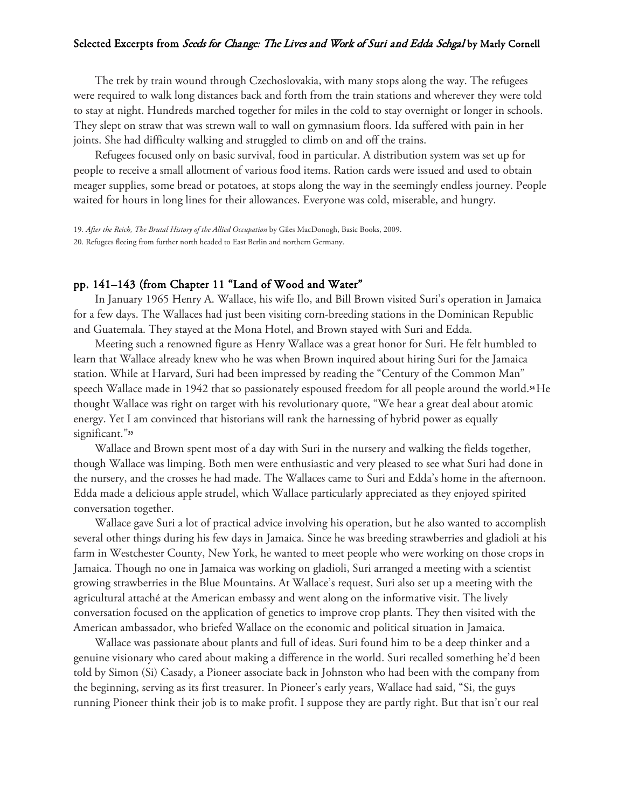The trek by train wound through Czechoslovakia, with many stops along the way. The refugees were required to walk long distances back and forth from the train stations and wherever they were told to stay at night. Hundreds marched together for miles in the cold to stay overnight or longer in schools. They slept on straw that was strewn wall to wall on gymnasium floors. Ida suffered with pain in her joints. She had difficulty walking and struggled to climb on and off the trains.

Refugees focused only on basic survival, food in particular. A distribution system was set up for people to receive a small allotment of various food items. Ration cards were issued and used to obtain meager supplies, some bread or potatoes, at stops along the way in the seemingly endless journey. People waited for hours in long lines for their allowances. Everyone was cold, miserable, and hungry.

19*. After the Reich, The Brutal History of the Allied Occupation* by Giles MacDonogh, Basic Books, 2009. 20. Refugees fleeing from further north headed to East Berlin and northern Germany.

#### pp. 141–143 (from Chapter 11 "Land of Wood and Water"

In January 1965 Henry A. Wallace, his wife Ilo, and Bill Brown visited Suri's operation in Jamaica for a few days. The Wallaces had just been visiting corn-breeding stations in the Dominican Republic and Guatemala. They stayed at the Mona Hotel, and Brown stayed with Suri and Edda.

Meeting such a renowned figure as Henry Wallace was a great honor for Suri. He felt humbled to learn that Wallace already knew who he was when Brown inquired about hiring Suri for the Jamaica station. While at Harvard, Suri had been impressed by reading the "Century of the Common Man" speech Wallace made in 1942 that so passionately espoused freedom for all people around the world.<sup>34</sup> He thought Wallace was right on target with his revolutionary quote, "We hear a great deal about atomic energy. Yet I am convinced that historians will rank the harnessing of hybrid power as equally significant."<sup>35</sup>

Wallace and Brown spent most of a day with Suri in the nursery and walking the fields together, though Wallace was limping. Both men were enthusiastic and very pleased to see what Suri had done in the nursery, and the crosses he had made. The Wallaces came to Suri and Edda's home in the afternoon. Edda made a delicious apple strudel, which Wallace particularly appreciated as they enjoyed spirited conversation together.

Wallace gave Suri a lot of practical advice involving his operation, but he also wanted to accomplish several other things during his few days in Jamaica. Since he was breeding strawberries and gladioli at his farm in Westchester County, New York, he wanted to meet people who were working on those crops in Jamaica. Though no one in Jamaica was working on gladioli, Suri arranged a meeting with a scientist growing strawberries in the Blue Mountains. At Wallace's request, Suri also set up a meeting with the agricultural attaché at the American embassy and went along on the informative visit. The lively conversation focused on the application of genetics to improve crop plants. They then visited with the American ambassador, who briefed Wallace on the economic and political situation in Jamaica.

Wallace was passionate about plants and full of ideas. Suri found him to be a deep thinker and a genuine visionary who cared about making a difference in the world. Suri recalled something he'd been told by Simon (Si) Casady, a Pioneer associate back in Johnston who had been with the company from the beginning, serving as its first treasurer. In Pioneer's early years, Wallace had said, "Si, the guys running Pioneer think their job is to make profit. I suppose they are partly right. But that isn't our real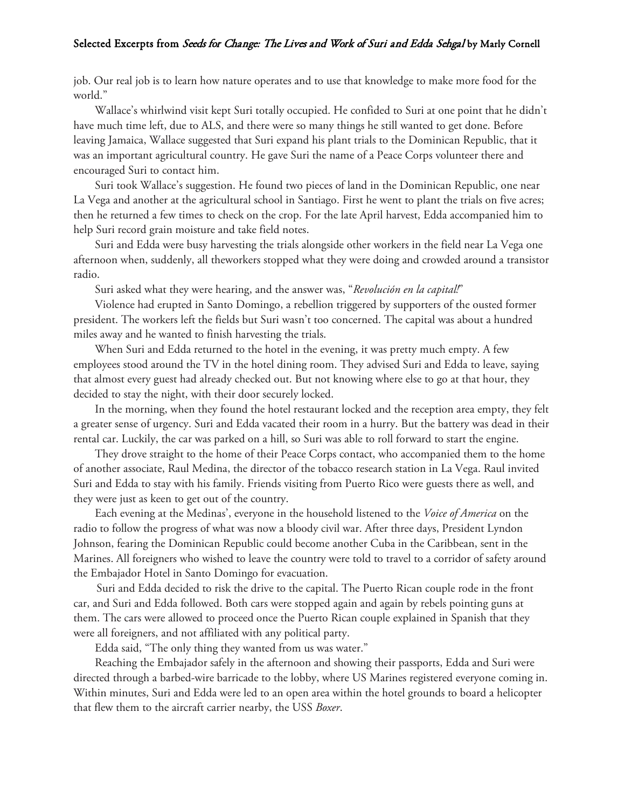job. Our real job is to learn how nature operates and to use that knowledge to make more food for the world."

Wallace's whirlwind visit kept Suri totally occupied. He confided to Suri at one point that he didn't have much time left, due to ALS, and there were so many things he still wanted to get done. Before leaving Jamaica, Wallace suggested that Suri expand his plant trials to the Dominican Republic, that it was an important agricultural country. He gave Suri the name of a Peace Corps volunteer there and encouraged Suri to contact him.

Suri took Wallace's suggestion. He found two pieces of land in the Dominican Republic, one near La Vega and another at the agricultural school in Santiago. First he went to plant the trials on five acres; then he returned a few times to check on the crop. For the late April harvest, Edda accompanied him to help Suri record grain moisture and take field notes.

Suri and Edda were busy harvesting the trials alongside other workers in the field near La Vega one afternoon when, suddenly, all theworkers stopped what they were doing and crowded around a transistor radio.

Suri asked what they were hearing, and the answer was, "*Revolución en la capital!*"

Violence had erupted in Santo Domingo, a rebellion triggered by supporters of the ousted former president. The workers left the fields but Suri wasn't too concerned. The capital was about a hundred miles away and he wanted to finish harvesting the trials.

When Suri and Edda returned to the hotel in the evening, it was pretty much empty. A few employees stood around the TV in the hotel dining room. They advised Suri and Edda to leave, saying that almost every guest had already checked out. But not knowing where else to go at that hour, they decided to stay the night, with their door securely locked.

In the morning, when they found the hotel restaurant locked and the reception area empty, they felt a greater sense of urgency. Suri and Edda vacated their room in a hurry. But the battery was dead in their rental car. Luckily, the car was parked on a hill, so Suri was able to roll forward to start the engine.

They drove straight to the home of their Peace Corps contact, who accompanied them to the home of another associate, Raul Medina, the director of the tobacco research station in La Vega. Raul invited Suri and Edda to stay with his family. Friends visiting from Puerto Rico were guests there as well, and they were just as keen to get out of the country.

Each evening at the Medinas', everyone in the household listened to the *Voice of America* on the radio to follow the progress of what was now a bloody civil war. After three days, President Lyndon Johnson, fearing the Dominican Republic could become another Cuba in the Caribbean, sent in the Marines. All foreigners who wished to leave the country were told to travel to a corridor of safety around the Embajador Hotel in Santo Domingo for evacuation.

Suri and Edda decided to risk the drive to the capital. The Puerto Rican couple rode in the front car, and Suri and Edda followed. Both cars were stopped again and again by rebels pointing guns at them. The cars were allowed to proceed once the Puerto Rican couple explained in Spanish that they were all foreigners, and not affiliated with any political party.

Edda said, "The only thing they wanted from us was water."

Reaching the Embajador safely in the afternoon and showing their passports, Edda and Suri were directed through a barbed-wire barricade to the lobby, where US Marines registered everyone coming in. Within minutes, Suri and Edda were led to an open area within the hotel grounds to board a helicopter that flew them to the aircraft carrier nearby, the USS *Boxer*.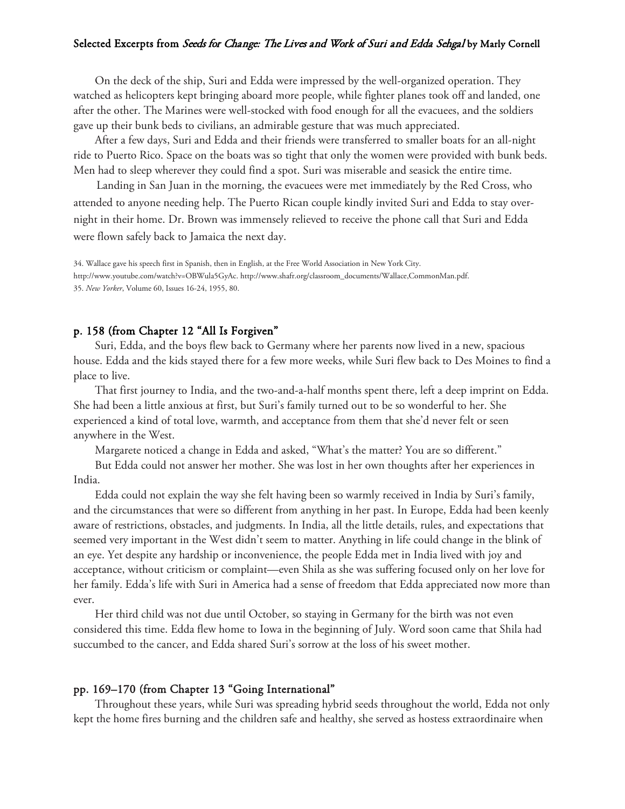On the deck of the ship, Suri and Edda were impressed by the well-organized operation. They watched as helicopters kept bringing aboard more people, while fighter planes took off and landed, one after the other. The Marines were well-stocked with food enough for all the evacuees, and the soldiers gave up their bunk beds to civilians, an admirable gesture that was much appreciated.

After a few days, Suri and Edda and their friends were transferred to smaller boats for an all-night ride to Puerto Rico. Space on the boats was so tight that only the women were provided with bunk beds. Men had to sleep wherever they could find a spot. Suri was miserable and seasick the entire time.

Landing in San Juan in the morning, the evacuees were met immediately by the Red Cross, who attended to anyone needing help. The Puerto Rican couple kindly invited Suri and Edda to stay overnight in their home. Dr. Brown was immensely relieved to receive the phone call that Suri and Edda were flown safely back to Jamaica the next day.

34. Wallace gave his speech first in Spanish, then in English, at the Free World Association in New York City. http://www.youtube.com/watch?v=OBWula5GyAc. http://www.shafr.org/classroom\_documents/Wallace,CommonMan.pdf. 35. *New Yorker*, Volume 60, Issues 16-24, 1955, 80.

## p. 158 (from Chapter 12 "All Is Forgiven"

Suri, Edda, and the boys flew back to Germany where her parents now lived in a new, spacious house. Edda and the kids stayed there for a few more weeks, while Suri flew back to Des Moines to find a place to live.

That first journey to India, and the two-and-a-half months spent there, left a deep imprint on Edda. She had been a little anxious at first, but Suri's family turned out to be so wonderful to her. She experienced a kind of total love, warmth, and acceptance from them that she'd never felt or seen anywhere in the West.

Margarete noticed a change in Edda and asked, "What's the matter? You are so different."

But Edda could not answer her mother. She was lost in her own thoughts after her experiences in India.

Edda could not explain the way she felt having been so warmly received in India by Suri's family, and the circumstances that were so different from anything in her past. In Europe, Edda had been keenly aware of restrictions, obstacles, and judgments. In India, all the little details, rules, and expectations that seemed very important in the West didn't seem to matter. Anything in life could change in the blink of an eye. Yet despite any hardship or inconvenience, the people Edda met in India lived with joy and acceptance, without criticism or complaint—even Shila as she was suffering focused only on her love for her family. Edda's life with Suri in America had a sense of freedom that Edda appreciated now more than ever.

Her third child was not due until October, so staying in Germany for the birth was not even considered this time. Edda flew home to Iowa in the beginning of July. Word soon came that Shila had succumbed to the cancer, and Edda shared Suri's sorrow at the loss of his sweet mother.

#### pp. 169–170 (from Chapter 13 "Going International"

Throughout these years, while Suri was spreading hybrid seeds throughout the world, Edda not only kept the home fires burning and the children safe and healthy, she served as hostess extraordinaire when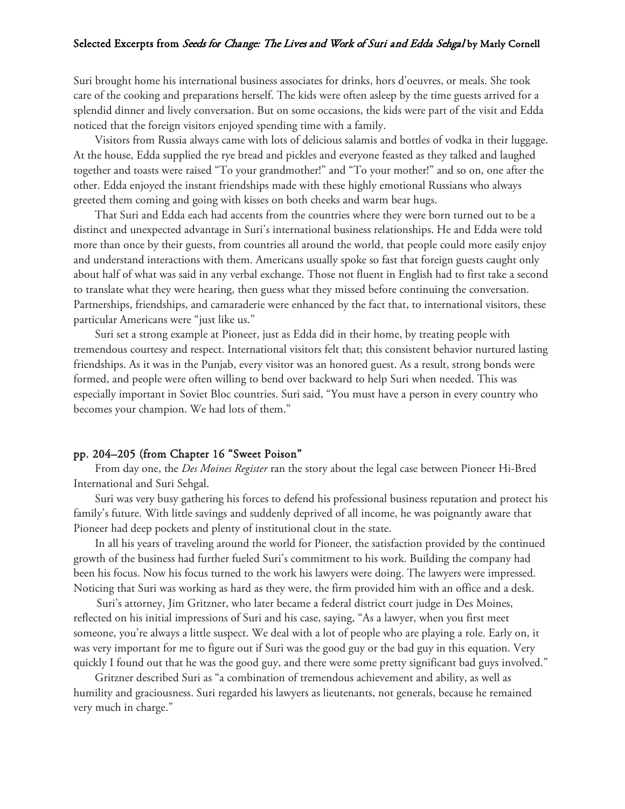Suri brought home his international business associates for drinks, hors d'oeuvres, or meals. She took care of the cooking and preparations herself. The kids were often asleep by the time guests arrived for a splendid dinner and lively conversation. But on some occasions, the kids were part of the visit and Edda noticed that the foreign visitors enjoyed spending time with a family.

Visitors from Russia always came with lots of delicious salamis and bottles of vodka in their luggage. At the house, Edda supplied the rye bread and pickles and everyone feasted as they talked and laughed together and toasts were raised "To your grandmother!" and "To your mother!" and so on, one after the other. Edda enjoyed the instant friendships made with these highly emotional Russians who always greeted them coming and going with kisses on both cheeks and warm bear hugs.

That Suri and Edda each had accents from the countries where they were born turned out to be a distinct and unexpected advantage in Suri's international business relationships. He and Edda were told more than once by their guests, from countries all around the world, that people could more easily enjoy and understand interactions with them. Americans usually spoke so fast that foreign guests caught only about half of what was said in any verbal exchange. Those not fluent in English had to first take a second to translate what they were hearing, then guess what they missed before continuing the conversation. Partnerships, friendships, and camaraderie were enhanced by the fact that, to international visitors, these particular Americans were "just like us."

Suri set a strong example at Pioneer, just as Edda did in their home, by treating people with tremendous courtesy and respect. International visitors felt that; this consistent behavior nurtured lasting friendships. As it was in the Punjab, every visitor was an honored guest. As a result, strong bonds were formed, and people were often willing to bend over backward to help Suri when needed. This was especially important in Soviet Bloc countries. Suri said, "You must have a person in every country who becomes your champion. We had lots of them."

#### pp. 204–205 (from Chapter 16 "Sweet Poison"

From day one, the *Des Moines Register* ran the story about the legal case between Pioneer Hi-Bred International and Suri Sehgal.

Suri was very busy gathering his forces to defend his professional business reputation and protect his family's future. With little savings and suddenly deprived of all income, he was poignantly aware that Pioneer had deep pockets and plenty of institutional clout in the state.

In all his years of traveling around the world for Pioneer, the satisfaction provided by the continued growth of the business had further fueled Suri's commitment to his work. Building the company had been his focus. Now his focus turned to the work his lawyers were doing. The lawyers were impressed. Noticing that Suri was working as hard as they were, the firm provided him with an office and a desk.

Suri's attorney, Jim Gritzner, who later became a federal district court judge in Des Moines, reflected on his initial impressions of Suri and his case, saying, "As a lawyer, when you first meet someone, you're always a little suspect. We deal with a lot of people who are playing a role. Early on, it was very important for me to figure out if Suri was the good guy or the bad guy in this equation. Very quickly I found out that he was the good guy, and there were some pretty significant bad guys involved."

Gritzner described Suri as "a combination of tremendous achievement and ability, as well as humility and graciousness. Suri regarded his lawyers as lieutenants, not generals, because he remained very much in charge."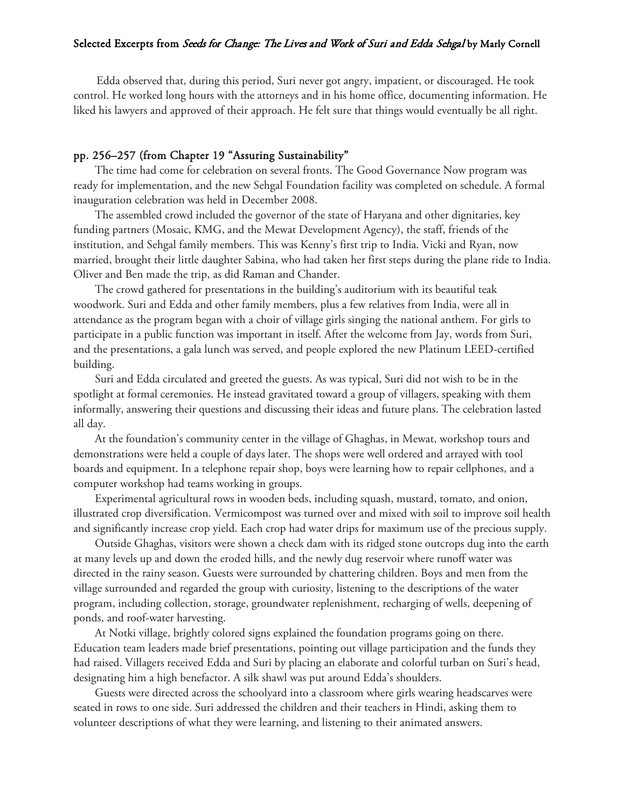Edda observed that, during this period, Suri never got angry, impatient, or discouraged. He took control. He worked long hours with the attorneys and in his home office, documenting information. He liked his lawyers and approved of their approach. He felt sure that things would eventually be all right.

# pp. 256–257 (from Chapter 19 "Assuring Sustainability"

The time had come for celebration on several fronts. The Good Governance Now program was ready for implementation, and the new Sehgal Foundation facility was completed on schedule. A formal inauguration celebration was held in December 2008.

The assembled crowd included the governor of the state of Haryana and other dignitaries, key funding partners (Mosaic, KMG, and the Mewat Development Agency), the staff, friends of the institution, and Sehgal family members. This was Kenny's first trip to India. Vicki and Ryan, now married, brought their little daughter Sabina, who had taken her first steps during the plane ride to India. Oliver and Ben made the trip, as did Raman and Chander.

The crowd gathered for presentations in the building's auditorium with its beautiful teak woodwork. Suri and Edda and other family members, plus a few relatives from India, were all in attendance as the program began with a choir of village girls singing the national anthem. For girls to participate in a public function was important in itself. After the welcome from Jay, words from Suri, and the presentations, a gala lunch was served, and people explored the new Platinum LEED-certified building.

Suri and Edda circulated and greeted the guests. As was typical, Suri did not wish to be in the spotlight at formal ceremonies. He instead gravitated toward a group of villagers, speaking with them informally, answering their questions and discussing their ideas and future plans. The celebration lasted all day.

At the foundation's community center in the village of Ghaghas, in Mewat, workshop tours and demonstrations were held a couple of days later. The shops were well ordered and arrayed with tool boards and equipment. In a telephone repair shop, boys were learning how to repair cellphones, and a computer workshop had teams working in groups.

Experimental agricultural rows in wooden beds, including squash, mustard, tomato, and onion, illustrated crop diversification. Vermicompost was turned over and mixed with soil to improve soil health and significantly increase crop yield. Each crop had water drips for maximum use of the precious supply.

Outside Ghaghas, visitors were shown a check dam with its ridged stone outcrops dug into the earth at many levels up and down the eroded hills, and the newly dug reservoir where runoff water was directed in the rainy season. Guests were surrounded by chattering children. Boys and men from the village surrounded and regarded the group with curiosity, listening to the descriptions of the water program, including collection, storage, groundwater replenishment, recharging of wells, deepening of ponds, and roof-water harvesting.

At Notki village, brightly colored signs explained the foundation programs going on there. Education team leaders made brief presentations, pointing out village participation and the funds they had raised. Villagers received Edda and Suri by placing an elaborate and colorful turban on Suri's head, designating him a high benefactor. A silk shawl was put around Edda's shoulders.

Guests were directed across the schoolyard into a classroom where girls wearing headscarves were seated in rows to one side. Suri addressed the children and their teachers in Hindi, asking them to volunteer descriptions of what they were learning, and listening to their animated answers.